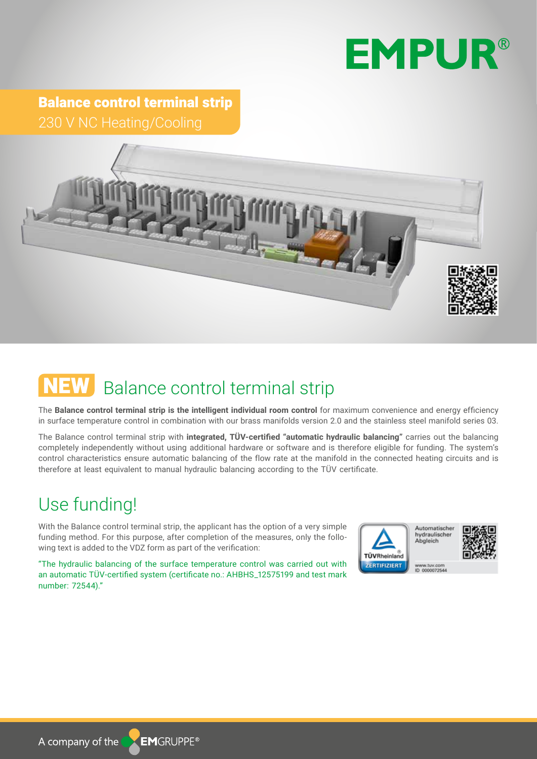## **EMPUR®**

Balance control terminal strip 230 V NC Heating/Cooling



### NEW Balance control terminal strip

The **Balance control terminal strip is the intelligent individual room control** for maximum convenience and energy efficiency in surface temperature control in combination with our brass manifolds version 2.0 and the stainless steel manifold series 03.

The Balance control terminal strip with **integrated, TÜV-certified "automatic hydraulic balancing"** carries out the balancing completely independently without using additional hardware or software and is therefore eligible for funding. The system's control characteristics ensure automatic balancing of the flow rate at the manifold in the connected heating circuits and is therefore at least equivalent to manual hydraulic balancing according to the TÜV certificate.

#### Use funding!

With the Balance control terminal strip, the applicant has the option of a very simple funding method. For this purpose, after completion of the measures, only the following text is added to the VDZ form as part of the verification:

"The hydraulic balancing of the surface temperature control was carried out with an automatic TÜV-certified system (certificate no.: AHBHS\_12575199 and test mark number: 72544)."